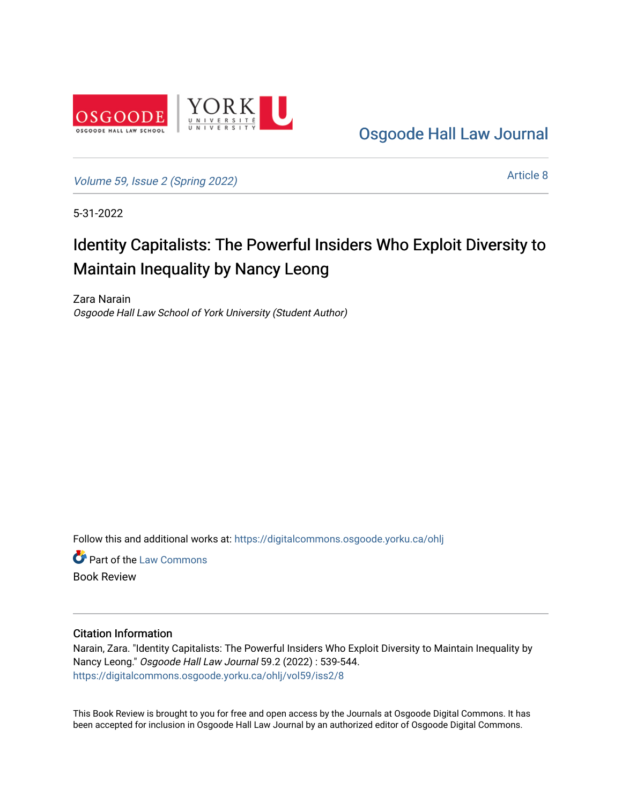

[Osgoode Hall Law Journal](https://digitalcommons.osgoode.yorku.ca/ohlj) 

[Volume 59, Issue 2 \(Spring 2022\)](https://digitalcommons.osgoode.yorku.ca/ohlj/vol59/iss2)

[Article 8](https://digitalcommons.osgoode.yorku.ca/ohlj/vol59/iss2/8) 

5-31-2022

# Identity Capitalists: The Powerful Insiders Who Exploit Diversity to Maintain Inequality by Nancy Leong

Zara Narain Osgoode Hall Law School of York University (Student Author)

Follow this and additional works at: [https://digitalcommons.osgoode.yorku.ca/ohlj](https://digitalcommons.osgoode.yorku.ca/ohlj?utm_source=digitalcommons.osgoode.yorku.ca%2Fohlj%2Fvol59%2Fiss2%2F8&utm_medium=PDF&utm_campaign=PDFCoverPages)

**C** Part of the [Law Commons](https://network.bepress.com/hgg/discipline/578?utm_source=digitalcommons.osgoode.yorku.ca%2Fohlj%2Fvol59%2Fiss2%2F8&utm_medium=PDF&utm_campaign=PDFCoverPages) Book Review

#### Citation Information

Narain, Zara. "Identity Capitalists: The Powerful Insiders Who Exploit Diversity to Maintain Inequality by Nancy Leong." Osgoode Hall Law Journal 59.2 (2022) : 539-544. [https://digitalcommons.osgoode.yorku.ca/ohlj/vol59/iss2/8](https://digitalcommons.osgoode.yorku.ca/ohlj/vol59/iss2/8?utm_source=digitalcommons.osgoode.yorku.ca%2Fohlj%2Fvol59%2Fiss2%2F8&utm_medium=PDF&utm_campaign=PDFCoverPages) 

This Book Review is brought to you for free and open access by the Journals at Osgoode Digital Commons. It has been accepted for inclusion in Osgoode Hall Law Journal by an authorized editor of Osgoode Digital Commons.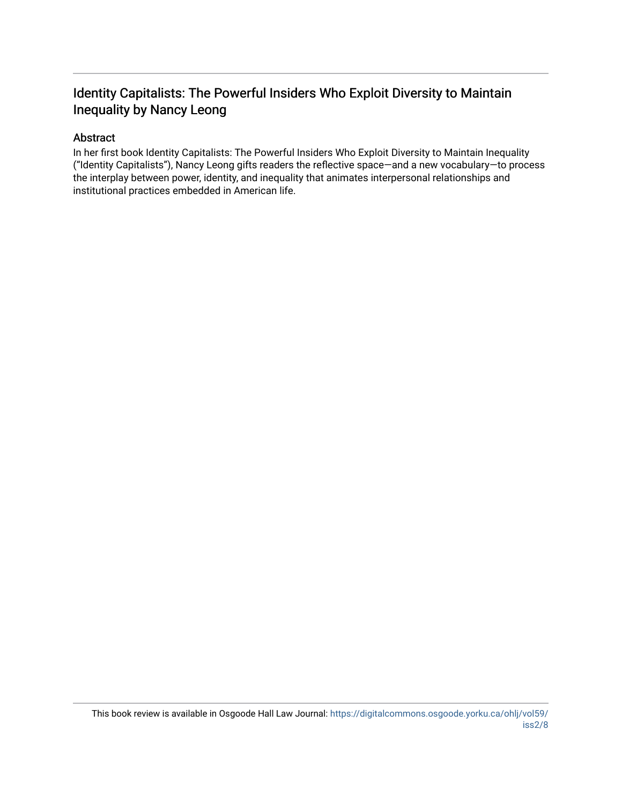### Identity Capitalists: The Powerful Insiders Who Exploit Diversity to Maintain Inequality by Nancy Leong

### Abstract

In her first book Identity Capitalists: The Powerful Insiders Who Exploit Diversity to Maintain Inequality ("Identity Capitalists"), Nancy Leong gifts readers the reflective space—and a new vocabulary—to process the interplay between power, identity, and inequality that animates interpersonal relationships and institutional practices embedded in American life.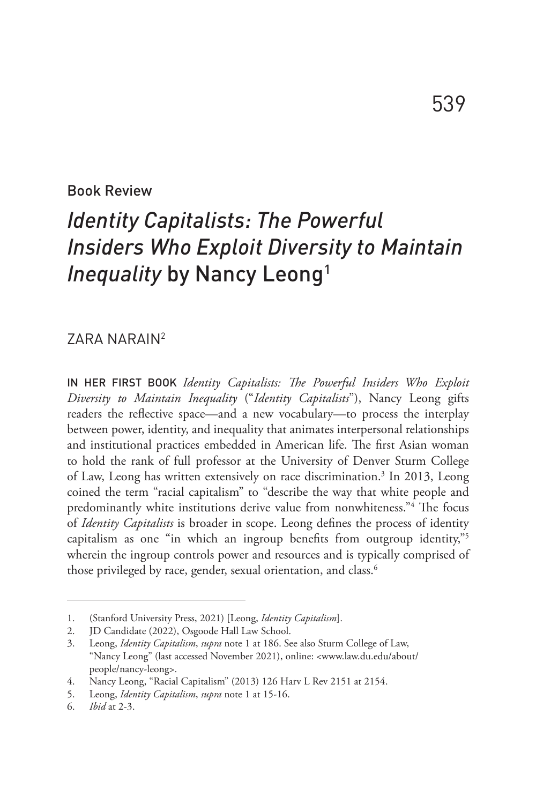Book Review

# *Identity Capitalists: The Powerful Insiders Who Exploit Diversity to Maintain Inequality* by Nancy Leong<sup>1</sup>

### ZARA NARAIN2

IN HER FIRST BOOK *Identity Capitalists: The Powerful Insiders Who Exploit Diversity to Maintain Inequality* ("*Identity Capitalists*"), Nancy Leong gifts readers the reflective space—and a new vocabulary—to process the interplay between power, identity, and inequality that animates interpersonal relationships and institutional practices embedded in American life. The first Asian woman to hold the rank of full professor at the University of Denver Sturm College of Law, Leong has written extensively on race discrimination.<sup>3</sup> In 2013, Leong coined the term "racial capitalism" to "describe the way that white people and predominantly white institutions derive value from nonwhiteness."<sup>4</sup> The focus of *Identity Capitalists* is broader in scope. Leong defines the process of identity capitalism as one "in which an ingroup benefits from outgroup identity,"5 wherein the ingroup controls power and resources and is typically comprised of those privileged by race, gender, sexual orientation, and class.<sup>6</sup>

<sup>1.</sup> (Stanford University Press, 2021) [Leong, *Identity Capitalism*].

<sup>2.</sup> JD Candidate (2022), Osgoode Hall Law School.

<sup>3.</sup> Leong, *Identity Capitalism*, *supra* note 1 at 186. See also Sturm College of Law, "Nancy Leong" (last accessed November 2021), online: <www.law.du.edu/about/ people/nancy-leong>.

<sup>4.</sup> Nancy Leong, "Racial Capitalism" (2013) 126 Harv L Rev 2151 at 2154.

<sup>5.</sup> Leong, *Identity Capitalism*, *supra* note 1 at 15-16.

<sup>6.</sup> *Ibid* at 2-3.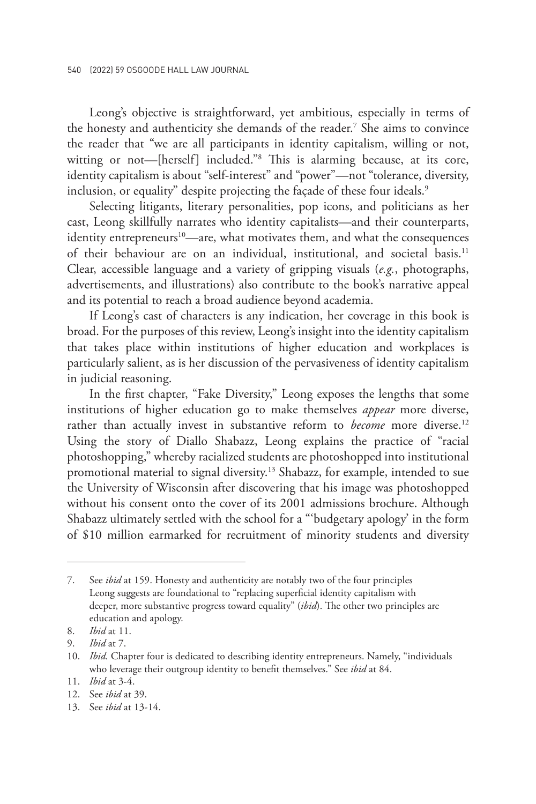Leong's objective is straightforward, yet ambitious, especially in terms of the honesty and authenticity she demands of the reader.7 She aims to convince the reader that "we are all participants in identity capitalism, willing or not, witting or not—[herself] included."8 This is alarming because, at its core, identity capitalism is about "self-interest" and "power"—not "tolerance, diversity, inclusion, or equality" despite projecting the façade of these four ideals.<sup>9</sup>

Selecting litigants, literary personalities, pop icons, and politicians as her cast, Leong skillfully narrates who identity capitalists—and their counterparts, identity entrepreneurs<sup>10</sup>—are, what motivates them, and what the consequences of their behaviour are on an individual, institutional, and societal basis.11 Clear, accessible language and a variety of gripping visuals (*e.g.*, photographs, advertisements, and illustrations) also contribute to the book's narrative appeal and its potential to reach a broad audience beyond academia.

If Leong's cast of characters is any indication, her coverage in this book is broad. For the purposes of this review, Leong's insight into the identity capitalism that takes place within institutions of higher education and workplaces is particularly salient, as is her discussion of the pervasiveness of identity capitalism in judicial reasoning.

In the first chapter, "Fake Diversity," Leong exposes the lengths that some institutions of higher education go to make themselves *appear* more diverse, rather than actually invest in substantive reform to *become* more diverse.<sup>12</sup> Using the story of Diallo Shabazz, Leong explains the practice of "racial photoshopping," whereby racialized students are photoshopped into institutional promotional material to signal diversity.<sup>13</sup> Shabazz, for example, intended to sue the University of Wisconsin after discovering that his image was photoshopped without his consent onto the cover of its 2001 admissions brochure. Although Shabazz ultimately settled with the school for a "'budgetary apology' in the form of \$10 million earmarked for recruitment of minority students and diversity

<sup>7.</sup> See *ibid* at 159. Honesty and authenticity are notably two of the four principles Leong suggests are foundational to "replacing superficial identity capitalism with deeper, more substantive progress toward equality" (*ibid*). The other two principles are education and apology.

<sup>8.</sup> *Ibid* at 11.

<sup>9.</sup> *Ibid* at 7.

<sup>10.</sup> *Ibid.* Chapter four is dedicated to describing identity entrepreneurs. Namely, "individuals who leverage their outgroup identity to benefit themselves." See *ibid* at 84.

<sup>11.</sup> *Ibid* at 3-4.

<sup>12.</sup> See *ibid* at 39.

<sup>13.</sup> See *ibid* at 13-14.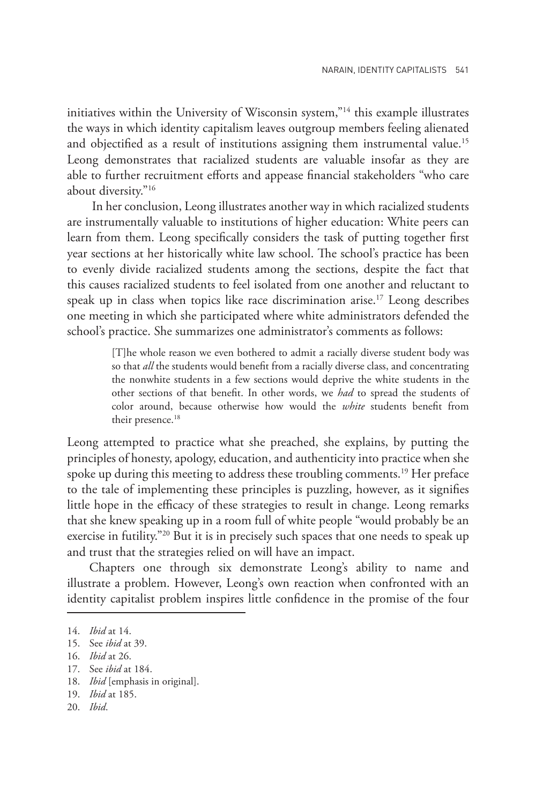initiatives within the University of Wisconsin system,"14 this example illustrates the ways in which identity capitalism leaves outgroup members feeling alienated and objectified as a result of institutions assigning them instrumental value.<sup>15</sup> Leong demonstrates that racialized students are valuable insofar as they are able to further recruitment efforts and appease financial stakeholders "who care about diversity."16

 In her conclusion, Leong illustrates another way in which racialized students are instrumentally valuable to institutions of higher education: White peers can learn from them. Leong specifically considers the task of putting together first year sections at her historically white law school. The school's practice has been to evenly divide racialized students among the sections, despite the fact that this causes racialized students to feel isolated from one another and reluctant to speak up in class when topics like race discrimination arise.<sup>17</sup> Leong describes one meeting in which she participated where white administrators defended the school's practice. She summarizes one administrator's comments as follows:

> [T]he whole reason we even bothered to admit a racially diverse student body was so that *all* the students would benefit from a racially diverse class, and concentrating the nonwhite students in a few sections would deprive the white students in the other sections of that benefit. In other words, we *had* to spread the students of color around, because otherwise how would the *white* students benefit from their presence.<sup>18</sup>

Leong attempted to practice what she preached, she explains, by putting the principles of honesty, apology, education, and authenticity into practice when she spoke up during this meeting to address these troubling comments.<sup>19</sup> Her preface to the tale of implementing these principles is puzzling, however, as it signifies little hope in the efficacy of these strategies to result in change. Leong remarks that she knew speaking up in a room full of white people "would probably be an exercise in futility."20 But it is in precisely such spaces that one needs to speak up and trust that the strategies relied on will have an impact.

Chapters one through six demonstrate Leong's ability to name and illustrate a problem. However, Leong's own reaction when confronted with an identity capitalist problem inspires little confidence in the promise of the four

17. See *ibid* at 184.

<sup>14.</sup> *Ibid* at 14.

<sup>15.</sup> See *ibid* at 39.

<sup>16.</sup> *Ibid* at 26.

<sup>18.</sup> *Ibid* [emphasis in original].

<sup>19.</sup> *Ibid* at 185.

<sup>20.</sup> *Ibid*.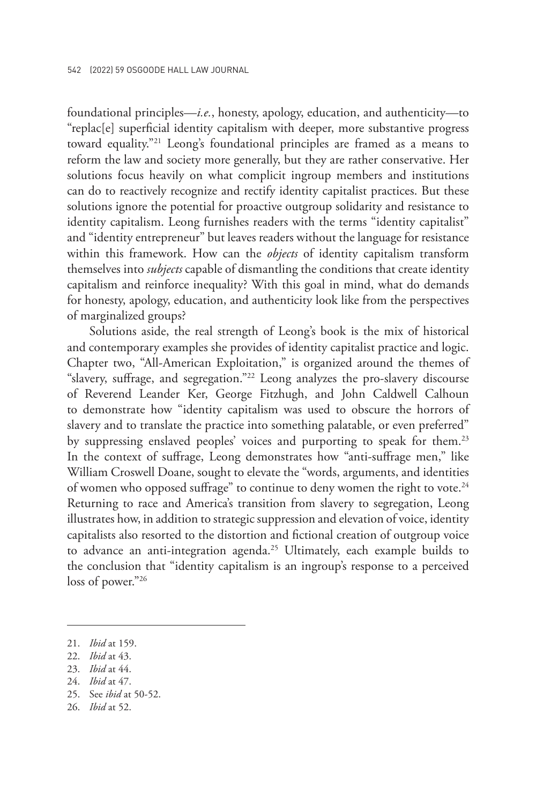foundational principles—*i.e.*, honesty, apology, education, and authenticity—to "replac[e] superficial identity capitalism with deeper, more substantive progress toward equality."21 Leong's foundational principles are framed as a means to reform the law and society more generally, but they are rather conservative. Her solutions focus heavily on what complicit ingroup members and institutions can do to reactively recognize and rectify identity capitalist practices. But these solutions ignore the potential for proactive outgroup solidarity and resistance to identity capitalism. Leong furnishes readers with the terms "identity capitalist" and "identity entrepreneur" but leaves readers without the language for resistance within this framework. How can the *objects* of identity capitalism transform themselves into *subjects* capable of dismantling the conditions that create identity capitalism and reinforce inequality? With this goal in mind, what do demands for honesty, apology, education, and authenticity look like from the perspectives of marginalized groups?

Solutions aside, the real strength of Leong's book is the mix of historical and contemporary examples she provides of identity capitalist practice and logic. Chapter two, "All-American Exploitation," is organized around the themes of "slavery, suffrage, and segregation."22 Leong analyzes the pro-slavery discourse of Reverend Leander Ker, George Fitzhugh, and John Caldwell Calhoun to demonstrate how "identity capitalism was used to obscure the horrors of slavery and to translate the practice into something palatable, or even preferred" by suppressing enslaved peoples' voices and purporting to speak for them.<sup>23</sup> In the context of suffrage, Leong demonstrates how "anti-suffrage men," like William Croswell Doane, sought to elevate the "words, arguments, and identities of women who opposed suffrage" to continue to deny women the right to vote.<sup>24</sup> Returning to race and America's transition from slavery to segregation, Leong illustrates how, in addition to strategic suppression and elevation of voice, identity capitalists also resorted to the distortion and fictional creation of outgroup voice to advance an anti-integration agenda.<sup>25</sup> Ultimately, each example builds to the conclusion that "identity capitalism is an ingroup's response to a perceived loss of power."26

24. *Ibid* at 47.

26. *Ibid* at 52.

<sup>21.</sup> *Ibid* at 159.

<sup>22.</sup> *Ibid* at 43.

<sup>23.</sup> *Ibid* at 44.

<sup>25.</sup> See *ibid* at 50-52.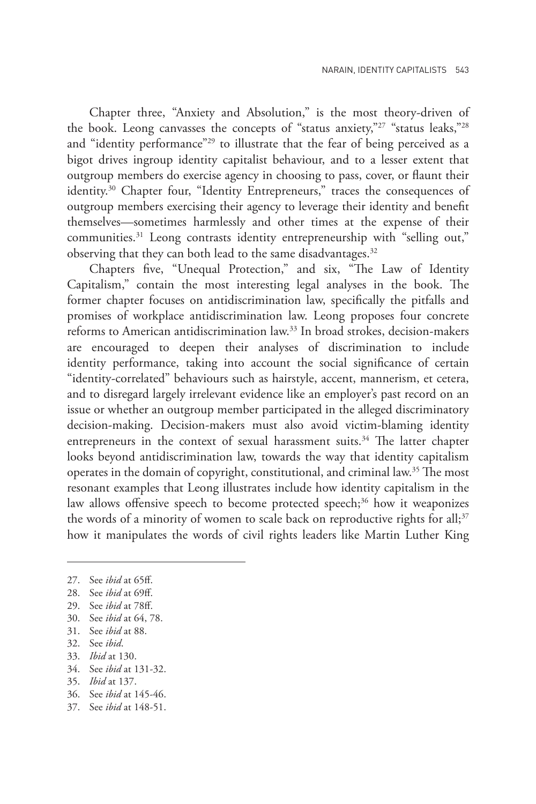Chapter three, "Anxiety and Absolution," is the most theory-driven of the book. Leong canvasses the concepts of "status anxiety,"<sup>27</sup> "status leaks,"<sup>28</sup> and "identity performance"<sup>29</sup> to illustrate that the fear of being perceived as a bigot drives ingroup identity capitalist behaviour, and to a lesser extent that outgroup members do exercise agency in choosing to pass, cover, or flaunt their identity.<sup>30</sup> Chapter four, "Identity Entrepreneurs," traces the consequences of outgroup members exercising their agency to leverage their identity and benefit themselves—sometimes harmlessly and other times at the expense of their communities.31 Leong contrasts identity entrepreneurship with "selling out," observing that they can both lead to the same disadvantages.<sup>32</sup>

Chapters five, "Unequal Protection," and six, "The Law of Identity Capitalism," contain the most interesting legal analyses in the book. The former chapter focuses on antidiscrimination law, specifically the pitfalls and promises of workplace antidiscrimination law. Leong proposes four concrete reforms to American antidiscrimination law.33 In broad strokes, decision-makers are encouraged to deepen their analyses of discrimination to include identity performance, taking into account the social significance of certain "identity-correlated" behaviours such as hairstyle, accent, mannerism, et cetera, and to disregard largely irrelevant evidence like an employer's past record on an issue or whether an outgroup member participated in the alleged discriminatory decision-making. Decision-makers must also avoid victim-blaming identity entrepreneurs in the context of sexual harassment suits.<sup>34</sup> The latter chapter looks beyond antidiscrimination law, towards the way that identity capitalism operates in the domain of copyright, constitutional, and criminal law.35 The most resonant examples that Leong illustrates include how identity capitalism in the law allows offensive speech to become protected speech;<sup>36</sup> how it weaponizes the words of a minority of women to scale back on reproductive rights for all; $37$ how it manipulates the words of civil rights leaders like Martin Luther King

- 30. See *ibid* at 64, 78.
- 31. See *ibid* at 88.
- 32. See *ibid*.
- 33. *Ibid* at 130.
- 34. See *ibid* at 131-32.
- 35. *Ibid* at 137.
- 36. See *ibid* at 145-46.
- 37. See *ibid* at 148-51.

<sup>27.</sup> See *ibid* at 65ff.

<sup>28.</sup> See *ibid* at 69ff.

<sup>29.</sup> See *ibid* at 78ff.